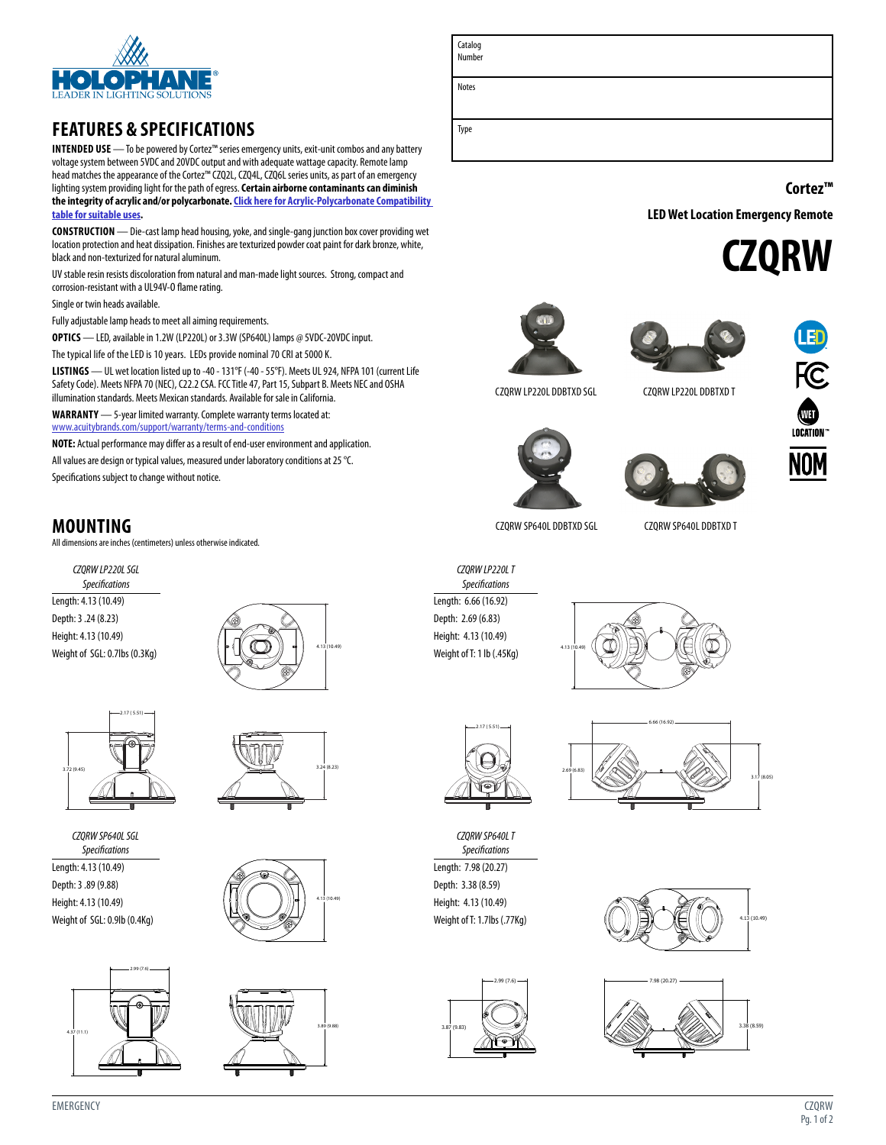

## **FEATURES & SPECIFICATIONS**

**INTENDED USE** — To be powered by Cortez™ series emergency units, exit-unit combos and any battery voltage system between 5VDC and 20VDC output and with adequate wattage capacity. Remote lamp head matches the appearance of the Cortez™ CZQ2L, CZQ4L, CZQ6L series units, as part of an emergency lighting system providing light for the path of egress. **Certain airborne contaminants can diminish the integrity of acrylic and/or polycarbonate.[Click here for Acrylic-Polycarbonate Compatibility](http://www.acuitybrandslighting.com/library/ll/documents/specsheets/acrylic-polycarbonate-compatibility.pdf)  [table for suitable uses](http://www.acuitybrandslighting.com/library/ll/documents/specsheets/acrylic-polycarbonate-compatibility.pdf).**

**CONSTRUCTION** — Die-cast lamp head housing, yoke, and single-gang junction box cover providing wet location protection and heat dissipation. Finishes are texturized powder coat paint for dark bronze, white, black and non-texturized for natural aluminum.

UV stable resin resists discoloration from natural and man-made light sources. Strong, compact and corrosion-resistant with a UL94V-O flame rating.

Single or twin heads available.

Fully adjustable lamp heads to meet all aiming requirements.

**OPTICS** — LED, available in 1.2W (LP220L) or 3.3W (SP640L) lamps @ 5VDC-20VDC input.

The typical life of the LED is 10 years. LEDs provide nominal 70 CRI at 5000 K.

**LISTINGS** — UL wet location listed up to -40 - 131°F (-40 - 55°F). Meets UL 924, NFPA 101 (current Life Safety Code). Meets NFPA 70 (NEC), C22.2 CSA. FCC Title 47, Part 15, Subpart B. Meets NEC and OSHA illumination standards. Meets Mexican standards. Available for sale in California.

**WARRANTY** — 5-year limited warranty. Complete warranty terms located at: [www.acuitybrands.com/support/warranty/terms-and-conditions](http://www.acuitybrands.com/support/warranty/terms-and-conditions)

**NOTE:** Actual performance may differ as a result of end-user environment and application.

All values are design or typical values, measured under laboratory conditions at 25 °C.

Specifications subject to change without notice.

## **MOUNTING**

All dimensions are inches (centimeters) unless otherwise indicated.

*CZQRW LP220L SGL Specifications* Length: 4.13 (10.49) Depth: 3 .24 (8.23) Height: 4.13 (10.49) Weight of SGL: 0.7lbs (0.3Kg)





*CZQRW SP640L SGL Specifications*

Length: 4.13 (10.49) Depth: 3 .89 (9.88) Height: 4.13 (10.49) Weight of SGL: 0.9lb (0.4Kg)









| Catalog<br>Number |  |
|-------------------|--|
| Notes             |  |
| Type              |  |

**Cortez™**

**LED Wet Location Emergency Remote** 









**NOM** 





CZQRW LP220L DDBTXD SGL CZQRW LP220L DDBTXD T

CZQRW SP640L DDBTXD SGL CZQRW SP640L DDBTXD T

*CZQRW LP220L T Specifications* Length: 6.66 (16.92) Depth: 2.69 (6.83) Height: 4.13 (10.49) Weight of T: 1 lb (.45Kg)



*CZQRW SP640L T Specifications* Length: 7.98 (20.27) Depth: 3.38 (8.59) Height: 4.13 (10.49) Weight of T: 1.7lbs (.77Kg)